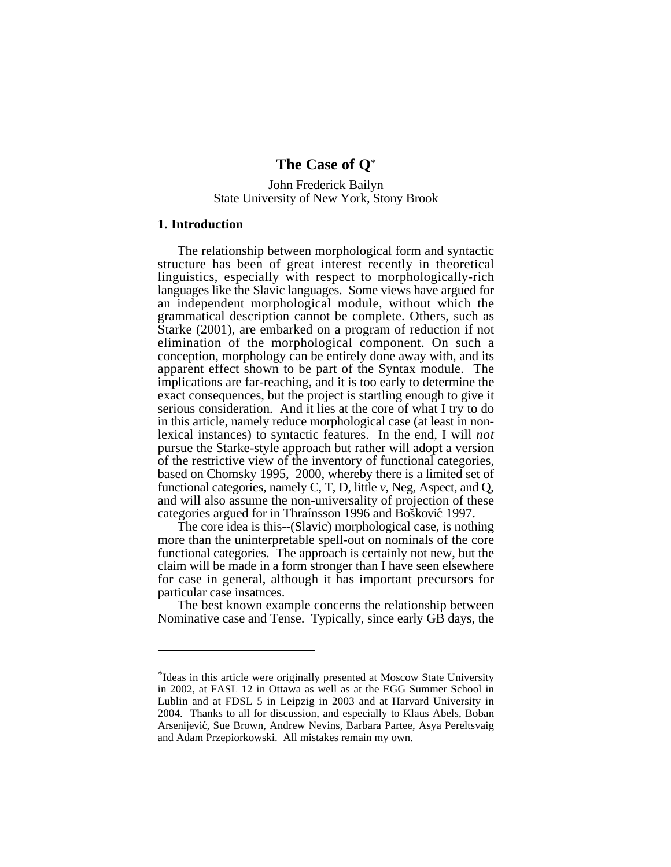## **The Case of Q**\*

#### John Frederick Bailyn State University of New York, Stony Brook

#### **1. Introduction**

The relationship between morphological form and syntactic structure has been of great interest recently in theoretical linguistics, especially with respect to morphologically-rich languages like the Slavic languages. Some views have argued for an independent morphological module, without which the grammatical description cannot be complete. Others, such as Starke (2001), are embarked on a program of reduction if not elimination of the morphological component. On such a conception, morphology can be entirely done away with, and its apparent effect shown to be part of the Syntax module. The implications are far-reaching, and it is too early to determine the exact consequences, but the project is startling enough to give it serious consideration. And it lies at the core of what I try to do in this article, namely reduce morphological case (at least in nonlexical instances) to syntactic features. In the end, I will *not* pursue the Starke-style approach but rather will adopt a version of the restrictive view of the inventory of functional categories, based on Chomsky 1995, 2000, whereby there is a limited set of functional categories, namely C, T, D, little *v*, Neg, Aspect, and Q, and will also assume the non-universality of projection of these categories argued for in Thraínsson 1996 and Bošković 1997.

The core idea is this--(Slavic) morphological case, is nothing more than the uninterpretable spell-out on nominals of the core functional categories. The approach is certainly not new, but the claim will be made in a form stronger than I have seen elsewhere for case in general, although it has important precursors for particular case insatnces.

The best known example concerns the relationship between Nominative case and Tense. Typically, since early GB days, the

<sup>\*</sup>Ideas in this article were originally presented at Moscow State University in 2002, at FASL 12 in Ottawa as well as at the EGG Summer School in Lublin and at FDSL 5 in Leipzig in 2003 and at Harvard University in 2004. Thanks to all for discussion, and especially to Klaus Abels, Boban Arsenijevic´, Sue Brown, Andrew Nevins, Barbara Partee, Asya Pereltsvaig and Adam Przepiorkowski. All mistakes remain my own.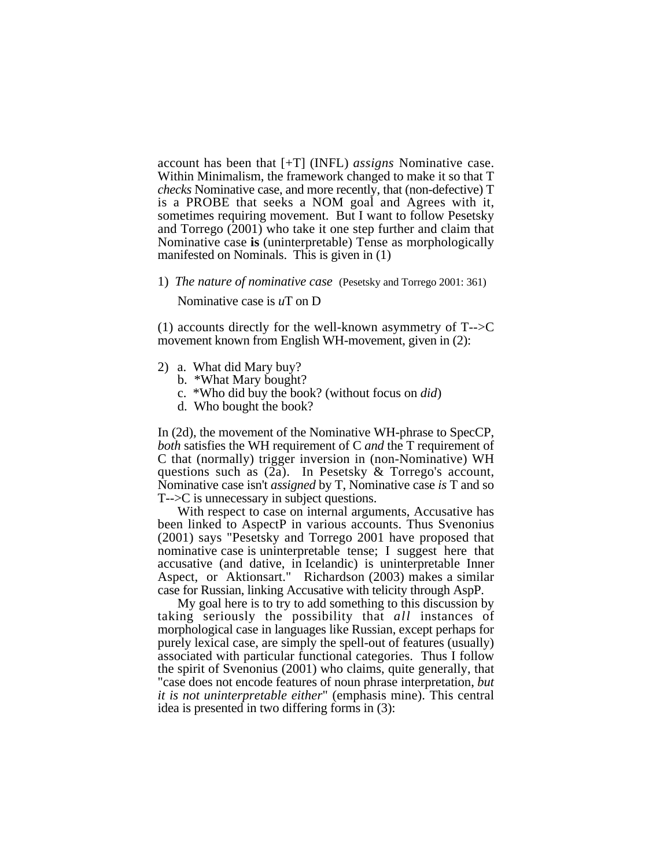account has been that [+T] (INFL) *assigns* Nominative case. Within Minimalism, the framework changed to make it so that T *checks* Nominative case, and more recently, that (non-defective) T is a PROBE that seeks a NOM goal and Agrees with it, sometimes requiring movement. But I want to follow Pesetsky and Torrego (2001) who take it one step further and claim that Nominative case **is** (uninterpretable) Tense as morphologically manifested on Nominals. This is given in (1)

1) *The nature of nominative case* (Pesetsky and Torrego 2001: 361)

Nominative case is *u*T on D

(1) accounts directly for the well-known asymmetry of  $T\rightarrow C$ movement known from English WH-movement, given in (2):

- 2) a. What did Mary buy?
	- b. \*What Mary bought?
	- c. \*Who did buy the book? (without focus on *did*)
	- d. Who bought the book?

In (2d), the movement of the Nominative WH-phrase to SpecCP, *both* satisfies the WH requirement of C *and* the T requirement of C that (normally) trigger inversion in (non-Nominative) WH questions such as (2a). In Pesetsky & Torrego's account, Nominative case isn't *assigned* by T, Nominative case *is* T and so T-->C is unnecessary in subject questions.

With respect to case on internal arguments, Accusative has been linked to AspectP in various accounts. Thus Svenonius (2001) says "Pesetsky and Torrego 2001 have proposed that nominative case is uninterpretable tense; I suggest here that accusative (and dative, in Icelandic) is uninterpretable Inner Aspect, or Aktionsart." Richardson (2003) makes a similar case for Russian, linking Accusative with telicity through AspP.

My goal here is to try to add something to this discussion by taking seriously the possibility that *all* instances of morphological case in languages like Russian, except perhaps for purely lexical case, are simply the spell-out of features (usually) associated with particular functional categories. Thus I follow the spirit of Svenonius (2001) who claims, quite generally, that "case does not encode features of noun phrase interpretation, *but it is not uninterpretable either*" (emphasis mine). This central idea is presented in two differing forms in (3):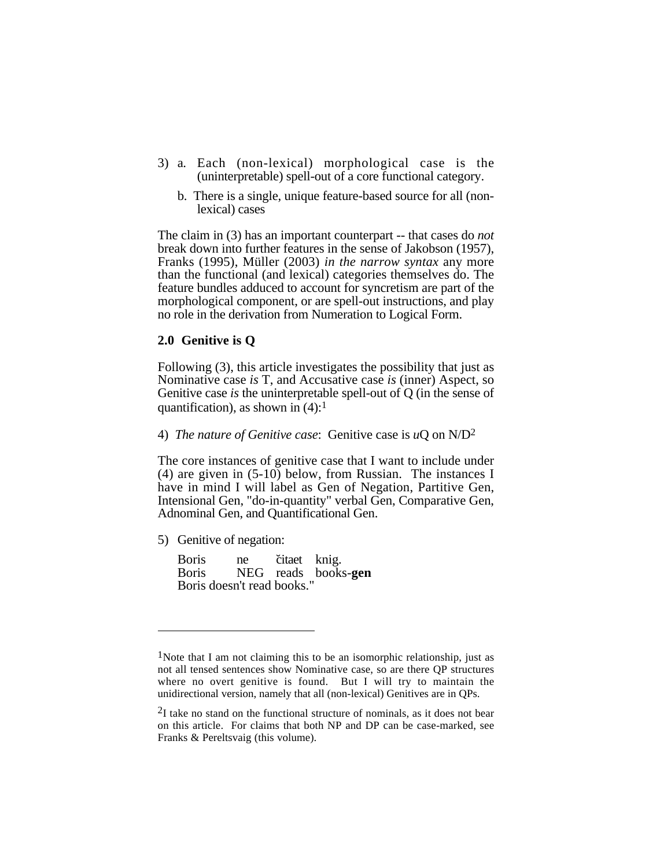- 3) a. Each (non-lexical) morphological case is the (uninterpretable) spell-out of a core functional category.
	- b. There is a single, unique feature-based source for all (nonlexical) cases

The claim in (3) has an important counterpart -- that cases do *not* break down into further features in the sense of Jakobson (1957), Franks (1995), Müller (2003) *in the narrow syntax* any more than the functional (and lexical) categories themselves do. The feature bundles adduced to account for syncretism are part of the morphological component, or are spell-out instructions, and play no role in the derivation from Numeration to Logical Form.

### **2.0 Genitive is Q**

Following (3), this article investigates the possibility that just as Nominative case *is* T, and Accusative case *is* (inner) Aspect, so Genitive case *is* the uninterpretable spell-out of Q (in the sense of quantification), as shown in  $(4)$ :<sup>1</sup>

4) *The nature of Genitive case*: Genitive case is *u*Q on N/D2

The core instances of genitive case that I want to include under (4) are given in (5-10) below, from Russian. The instances I have in mind I will label as Gen of Negation, Partitive Gen, Intensional Gen, "do-in-quantity" verbal Gen, Comparative Gen, Adnominal Gen, and Quantificational Gen.

5) Genitive of negation:

Boris ne čitaet knig. Boris NEG reads books-**gen** Boris doesn't read books."

<sup>&</sup>lt;sup>1</sup>Note that I am not claiming this to be an isomorphic relationship, just as not all tensed sentences show Nominative case, so are there QP structures where no overt genitive is found. But I will try to maintain the unidirectional version, namely that all (non-lexical) Genitives are in QPs.

<sup>2</sup>I take no stand on the functional structure of nominals, as it does not bear on this article. For claims that both NP and DP can be case-marked, see Franks & Pereltsvaig (this volume).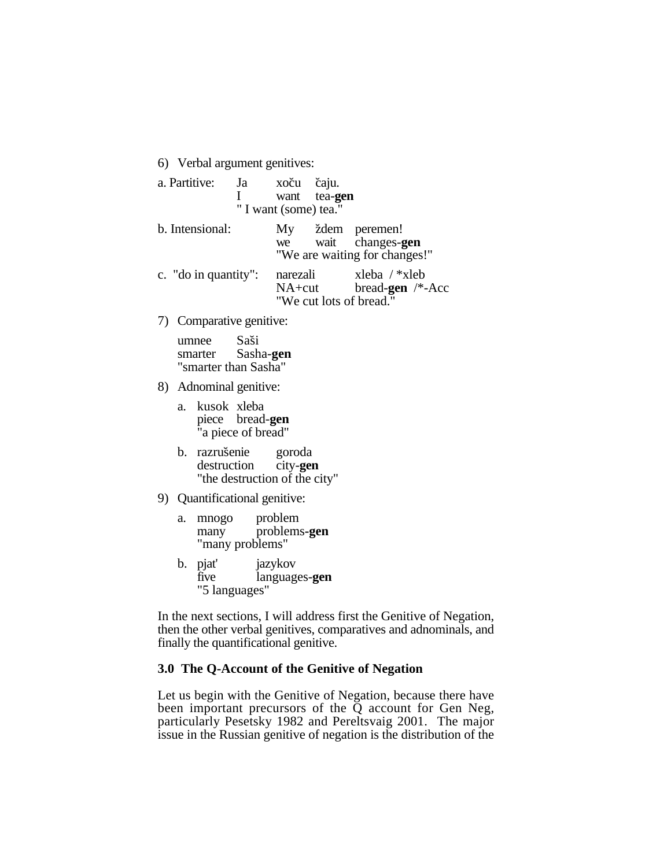6) Verbal argument genitives:

|    | a. Partitive:                                              | Ja                                                                | xoču čaju.<br>"I want (some) tea." | want tea-gen |                                                                                  |
|----|------------------------------------------------------------|-------------------------------------------------------------------|------------------------------------|--------------|----------------------------------------------------------------------------------|
|    | b. Intensional:                                            |                                                                   |                                    |              | My ždem peremen!<br>we wait changes- <b>gen</b><br>"We are waiting for changes!" |
|    | c. "do in quantity":                                       |                                                                   | narezali                           |              | xleba $/*$ xleb<br>$NA+cut$ bread-gen /*-Acc<br>"We cut lots of bread."          |
|    | 7) Comparative genitive:                                   |                                                                   |                                    |              |                                                                                  |
|    | Saši<br>umnee<br>smarter Sasha-gen<br>"smarter than Sasha" |                                                                   |                                    |              |                                                                                  |
|    | 8) Adnominal genitive:                                     |                                                                   |                                    |              |                                                                                  |
|    | a. kusok xleba                                             | piece bread-gen<br>"a piece of bread"                             |                                    |              |                                                                                  |
| b. |                                                            | razrušenie goroda<br>destruction<br>"the destruction of the city" | city-gen                           |              |                                                                                  |
|    | 9) Quantificational genitive:                              |                                                                   |                                    |              |                                                                                  |

- a. mnogo problem many problems**-gen** "many problems"
- b. pjat' jazykov languages-**gen** "5 languages"

In the next sections, I will address first the Genitive of Negation, then the other verbal genitives, comparatives and adnominals, and finally the quantificational genitive.

# **3.0 The Q-Account of the Genitive of Negation**

Let us begin with the Genitive of Negation, because there have been important precursors of the Q account for Gen Neg, particularly Pesetsky 1982 and Pereltsvaig 2001. The major issue in the Russian genitive of negation is the distribution of the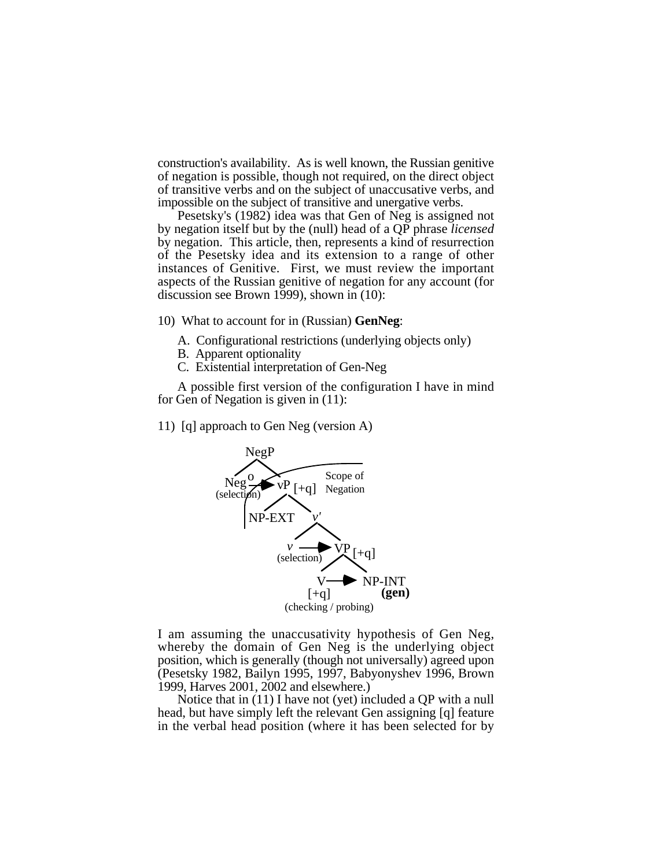construction's availability. As is well known, the Russian genitive of negation is possible, though not required, on the direct object of transitive verbs and on the subject of unaccusative verbs, and impossible on the subject of transitive and unergative verbs.

Pesetsky's (1982) idea was that Gen of Neg is assigned not by negation itself but by the (null) head of a QP phrase *licensed* by negation. This article, then, represents a kind of resurrection of the Pesetsky idea and its extension to a range of other instances of Genitive. First, we must review the important aspects of the Russian genitive of negation for any account (for discussion see Brown 1999), shown in (10):

- 10) What to account for in (Russian) **GenNeg**:
	- A. Configurational restrictions (underlying objects only)
	- B. Apparent optionality
	- C. Existential interpretation of Gen-Neg

A possible first version of the configuration I have in mind for Gen of Negation is given in (11):

11) [q] approach to Gen Neg (version A)



I am assuming the unaccusativity hypothesis of Gen Neg, whereby the domain of Gen Neg is the underlying object position, which is generally (though not universally) agreed upon (Pesetsky 1982, Bailyn 1995, 1997, Babyonyshev 1996, Brown 1999, Harves 2001, 2002 and elsewhere.)

Notice that in (11) I have not (yet) included a QP with a null head, but have simply left the relevant Gen assigning [q] feature in the verbal head position (where it has been selected for by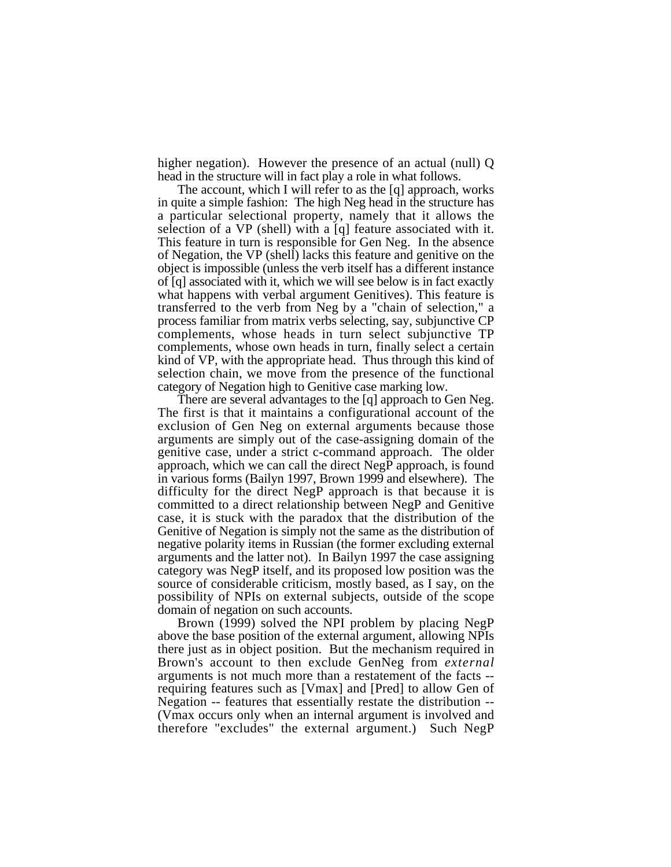higher negation). However the presence of an actual (null) Q head in the structure will in fact play a role in what follows.

The account, which I will refer to as the [q] approach, works in quite a simple fashion: The high Neg head in the structure has a particular selectional property, namely that it allows the selection of a VP (shell) with a [q] feature associated with it. This feature in turn is responsible for Gen Neg. In the absence of Negation, the VP (shell) lacks this feature and genitive on the object is impossible (unless the verb itself has a different instance of [q] associated with it, which we will see below is in fact exactly what happens with verbal argument Genitives). This feature is transferred to the verb from Neg by a "chain of selection," a process familiar from matrix verbs selecting, say, subjunctive CP complements, whose heads in turn select subjunctive TP complements, whose own heads in turn, finally select a certain kind of VP, with the appropriate head. Thus through this kind of selection chain, we move from the presence of the functional category of Negation high to Genitive case marking low.

There are several advantages to the [q] approach to Gen Neg. The first is that it maintains a configurational account of the exclusion of Gen Neg on external arguments because those arguments are simply out of the case-assigning domain of the genitive case, under a strict c-command approach. The older approach, which we can call the direct NegP approach, is found in various forms (Bailyn 1997, Brown 1999 and elsewhere). The difficulty for the direct NegP approach is that because it is committed to a direct relationship between NegP and Genitive case, it is stuck with the paradox that the distribution of the Genitive of Negation is simply not the same as the distribution of negative polarity items in Russian (the former excluding external arguments and the latter not). In Bailyn 1997 the case assigning category was NegP itself, and its proposed low position was the source of considerable criticism, mostly based, as I say, on the possibility of NPIs on external subjects, outside of the scope domain of negation on such accounts.

Brown (1999) solved the NPI problem by placing NegP above the base position of the external argument, allowing NPIs there just as in object position. But the mechanism required in Brown's account to then exclude GenNeg from *external* arguments is not much more than a restatement of the facts - requiring features such as [Vmax] and [Pred] to allow Gen of Negation -- features that essentially restate the distribution -- (Vmax occurs only when an internal argument is involved and therefore "excludes" the external argument.) Such NegP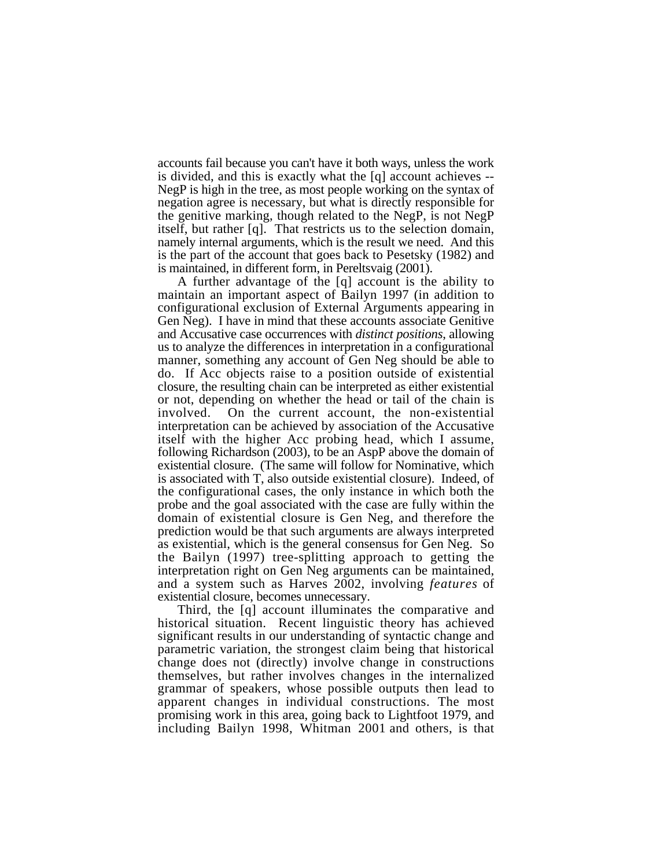accounts fail because you can't have it both ways, unless the work is divided, and this is exactly what the [q] account achieves -- NegP is high in the tree, as most people working on the syntax of negation agree is necessary, but what is directly responsible for the genitive marking, though related to the NegP, is not NegP itself, but rather [q]. That restricts us to the selection domain, namely internal arguments, which is the result we need. And this is the part of the account that goes back to Pesetsky (1982) and is maintained, in different form, in Pereltsvaig (2001).

A further advantage of the [q] account is the ability to maintain an important aspect of Bailyn 1997 (in addition to configurational exclusion of External Arguments appearing in Gen Neg). I have in mind that these accounts associate Genitive and Accusative case occurrences with *distinct positions*, allowing us to analyze the differences in interpretation in a configurational manner, something any account of Gen Neg should be able to do. If Acc objects raise to a position outside of existential closure, the resulting chain can be interpreted as either existential or not, depending on whether the head or tail of the chain is involved. On the current account, the non-existential interpretation can be achieved by association of the Accusative itself with the higher Acc probing head, which I assume, following Richardson (2003), to be an AspP above the domain of existential closure. (The same will follow for Nominative, which is associated with T, also outside existential closure). Indeed, of the configurational cases, the only instance in which both the probe and the goal associated with the case are fully within the domain of existential closure is Gen Neg, and therefore the prediction would be that such arguments are always interpreted as existential, which is the general consensus for Gen Neg. So the Bailyn (1997) tree-splitting approach to getting the interpretation right on Gen Neg arguments can be maintained, and a system such as Harves 2002, involving *features* of existential closure, becomes unnecessary.

Third, the [q] account illuminates the comparative and historical situation. Recent linguistic theory has achieved significant results in our understanding of syntactic change and parametric variation, the strongest claim being that historical change does not (directly) involve change in constructions themselves, but rather involves changes in the internalized grammar of speakers, whose possible outputs then lead to apparent changes in individual constructions. The most promising work in this area, going back to Lightfoot 1979, and including Bailyn 1998, Whitman 2001 and others, is that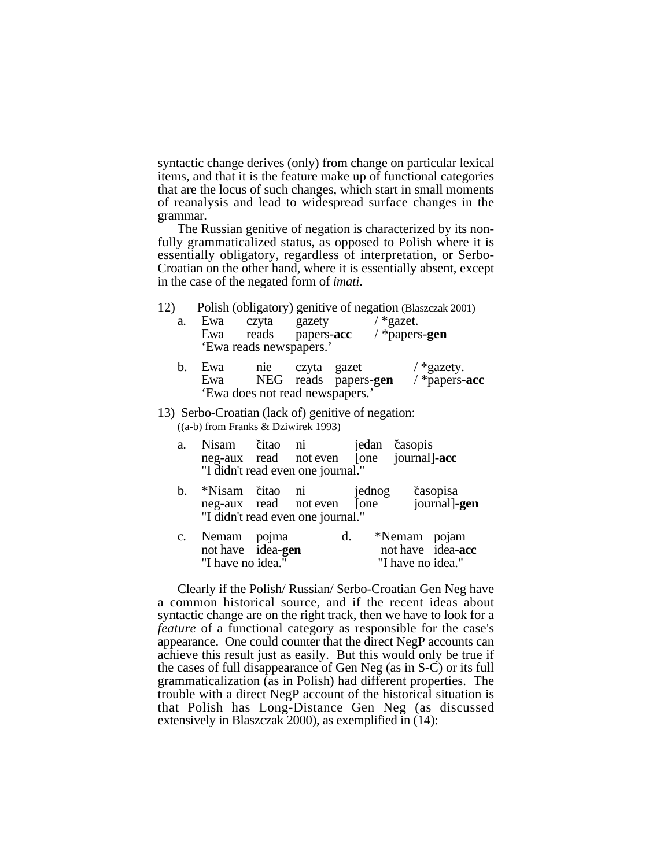syntactic change derives (only) from change on particular lexical items, and that it is the feature make up of functional categories that are the locus of such changes, which start in small moments of reanalysis and lead to widespread surface changes in the grammar.

The Russian genitive of negation is characterized by its nonfully grammaticalized status, as opposed to Polish where it is essentially obligatory, regardless of interpretation, or Serbo-Croatian on the other hand, where it is essentially absent, except in the case of the negated form of *imati*.

- 12) Polish (obligatory) genitive of negation (Blaszczak 2001) a. Ewa czyta gazety / \*gazet. Ewa reads papers-**acc** / \*papers-**gen** 'Ewa reads newspapers.'
	- b. Ewa nie czyta gazet / \*gazety. Ewa NEG reads papers-**gen** / \*papers-**acc** 'Ewa does not read newspapers.'
- 13) Serbo-Croatian (lack of) genitive of negation: ((a-b) from Franks & Dziwirek 1993)
	- a. Nisam čitao ni jedan časopis<br>neg-aux read not even [one journal] neg-aux read not even [one journal]-**acc** "I didn't read even one journal."
	- b. \*Nisam čitao ni jednog časopisa neg-aux read not even [one journal]-**gen** "I didn't read even one journal."
	- c. Nemam pojma d. \*Nemam pojam not have idea-**gen** not have idea-**acc** "I have no idea." "I have no idea."

Clearly if the Polish/ Russian/ Serbo-Croatian Gen Neg have a common historical source, and if the recent ideas about syntactic change are on the right track, then we have to look for a *feature* of a functional category as responsible for the case's appearance. One could counter that the direct NegP accounts can achieve this result just as easily. But this would only be true if the cases of full disappearance of Gen Neg (as in S-C) or its full grammaticalization (as in Polish) had different properties. The trouble with a direct NegP account of the historical situation is that Polish has Long-Distance Gen Neg (as discussed extensively in Blaszczak 2000), as exemplified in (14):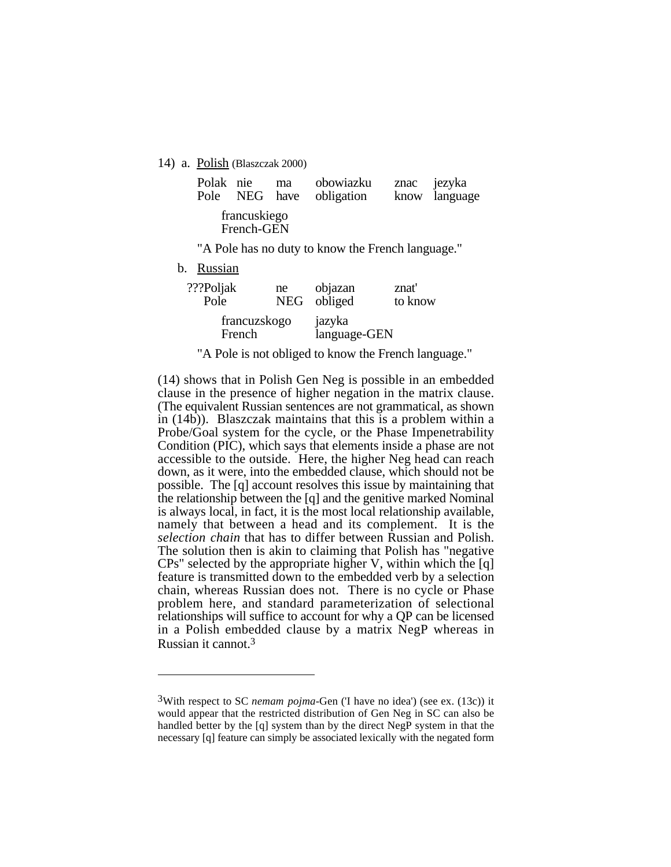14) a. Polish (Blaszczak 2000)

|                            | Polak nie ma obowiazku<br>Pole NEG have obligation | znac jezyka | know language |
|----------------------------|----------------------------------------------------|-------------|---------------|
| francuskiego<br>French-GEN |                                                    |             |               |

"A Pole has no duty to know the French language."

b. Russian

| ???Poljak    | ne | objazan      | znat'   |
|--------------|----|--------------|---------|
| Pole         |    | NEG obliged  | to know |
| francuzskogo |    | jazyka       |         |
| French       |    | language-GEN |         |

"A Pole is not obliged to know the French language."

(14) shows that in Polish Gen Neg is possible in an embedded clause in the presence of higher negation in the matrix clause. (The equivalent Russian sentences are not grammatical, as shown in (14b)). Blaszczak maintains that this is a problem within a Probe/Goal system for the cycle, or the Phase Impenetrability Condition (PIC), which says that elements inside a phase are not accessible to the outside. Here, the higher Neg head can reach down, as it were, into the embedded clause, which should not be possible. The [q] account resolves this issue by maintaining that the relationship between the [q] and the genitive marked Nominal is always local, in fact, it is the most local relationship available, namely that between a head and its complement. It is the *selection chain* that has to differ between Russian and Polish. The solution then is akin to claiming that Polish has "negative CPs" selected by the appropriate higher V, within which the [q] feature is transmitted down to the embedded verb by a selection chain, whereas Russian does not. There is no cycle or Phase problem here, and standard parameterization of selectional relationships will suffice to account for why a QP can be licensed in a Polish embedded clause by a matrix NegP whereas in Russian it cannot.3

<sup>3</sup>With respect to SC *nemam pojma*-Gen ('I have no idea') (see ex. (13c)) it would appear that the restricted distribution of Gen Neg in SC can also be handled better by the [q] system than by the direct NegP system in that the necessary [q] feature can simply be associated lexically with the negated form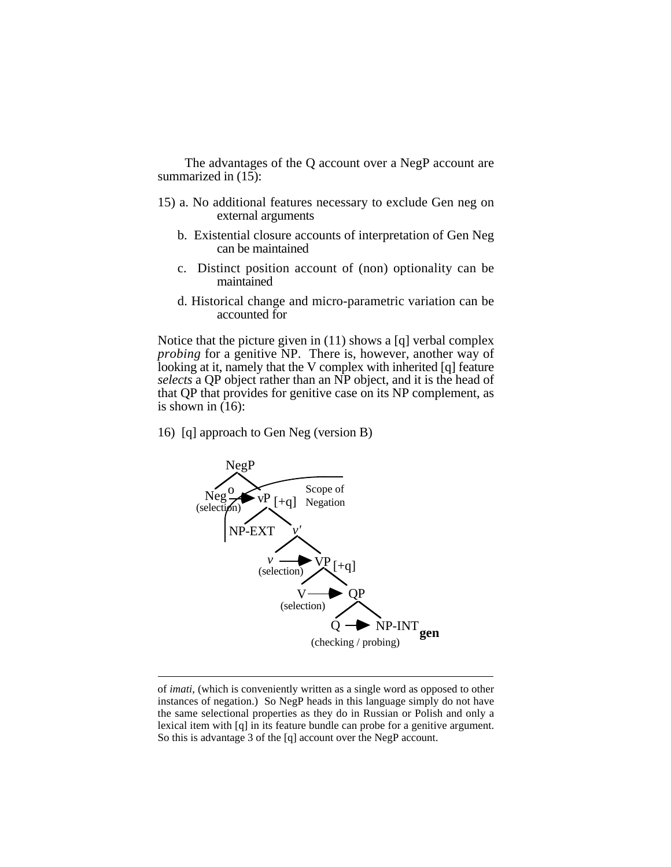The advantages of the Q account over a NegP account are summarized in (15):

- 15) a. No additional features necessary to exclude Gen neg on external arguments
	- b. Existential closure accounts of interpretation of Gen Neg can be maintained
	- c. Distinct position account of (non) optionality can be maintained
	- d. Historical change and micro-parametric variation can be accounted for

Notice that the picture given in (11) shows a [q] verbal complex *probing* for a genitive NP. There is, however, another way of looking at it, namely that the V complex with inherited [q] feature *selects* a QP object rather than an NP object, and it is the head of that QP that provides for genitive case on its NP complement, as is shown in  $(16)$ :

16) [q] approach to Gen Neg (version B)



of *imati*, (which is conveniently written as a single word as opposed to other instances of negation.) So NegP heads in this language simply do not have the same selectional properties as they do in Russian or Polish and only a lexical item with [q] in its feature bundle can probe for a genitive argument. So this is advantage 3 of the [q] account over the NegP account.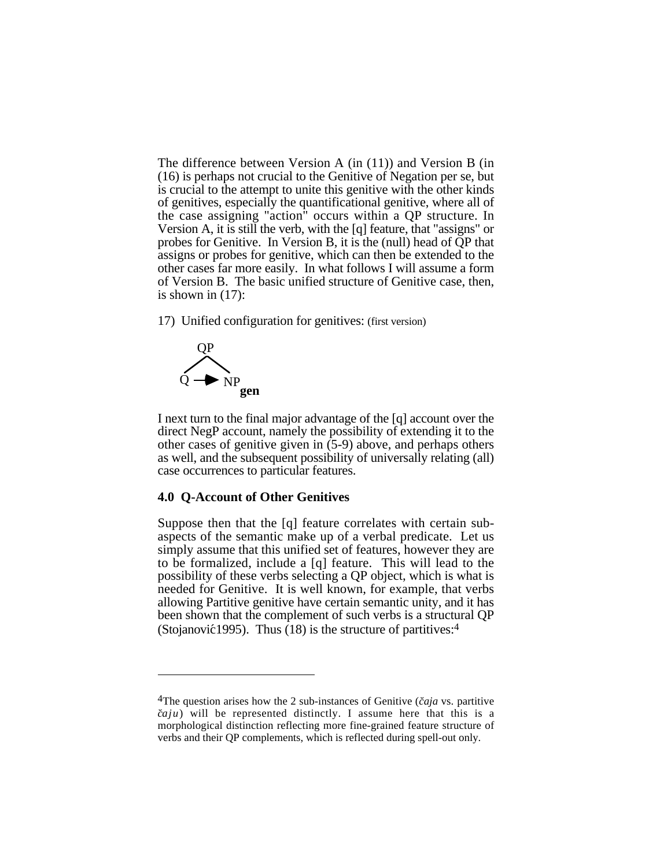The difference between Version A (in (11)) and Version B (in (16) is perhaps not crucial to the Genitive of Negation per se, but is crucial to the attempt to unite this genitive with the other kinds of genitives, especially the quantificational genitive, where all of the case assigning "action" occurs within a QP structure. In Version A, it is still the verb, with the [q] feature, that "assigns" or probes for Genitive. In Version B, it is the (null) head of QP that assigns or probes for genitive, which can then be extended to the other cases far more easily. In what follows I will assume a form of Version B. The basic unified structure of Genitive case, then, is shown in (17):

17) Unified configuration for genitives: (first version)



I next turn to the final major advantage of the [q] account over the direct NegP account, namely the possibility of extending it to the other cases of genitive given in (5-9) above, and perhaps others as well, and the subsequent possibility of universally relating (all) case occurrences to particular features.

### **4.0 Q-Account of Other Genitives**

Suppose then that the [q] feature correlates with certain subaspects of the semantic make up of a verbal predicate. Let us simply assume that this unified set of features, however they are to be formalized, include a [q] feature. This will lead to the possibility of these verbs selecting a QP object, which is what is needed for Genitive. It is well known, for example, that verbs allowing Partitive genitive have certain semantic unity, and it has been shown that the complement of such verbs is a structural QP (Stojanović 1995). Thus  $(18)$  is the structure of partitives:<sup>4</sup>

<sup>&</sup>lt;sup>4</sup>The question arises how the 2 sub-instances of Genitive (*čaja* vs. partitive *c˘aju*) will be represented distinctly. I assume here that this is a morphological distinction reflecting more fine-grained feature structure of verbs and their QP complements, which is reflected during spell-out only.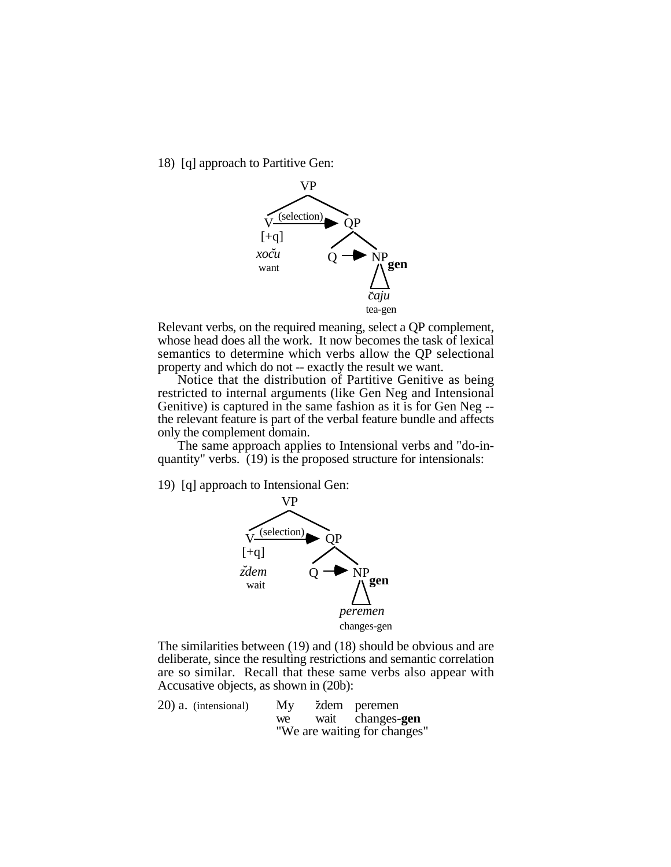18) [q] approach to Partitive Gen:



Relevant verbs, on the required meaning, select a QP complement, whose head does all the work. It now becomes the task of lexical semantics to determine which verbs allow the QP selectional property and which do not -- exactly the result we want.

Notice that the distribution of Partitive Genitive as being restricted to internal arguments (like Gen Neg and Intensional Genitive) is captured in the same fashion as it is for Gen Neg - the relevant feature is part of the verbal feature bundle and affects only the complement domain.

The same approach applies to Intensional verbs and "do-inquantity" verbs. (19) is the proposed structure for intensionals:

19) [q] approach to Intensional Gen:



The similarities between (19) and (18) should be obvious and are deliberate, since the resulting restrictions and semantic correlation are so similar. Recall that these same verbs also appear with Accusative objects, as shown in (20b):

| 20) a. (intensional) | My | ždem peremen                 |
|----------------------|----|------------------------------|
|                      | we | wait changes-gen             |
|                      |    | "We are waiting for changes" |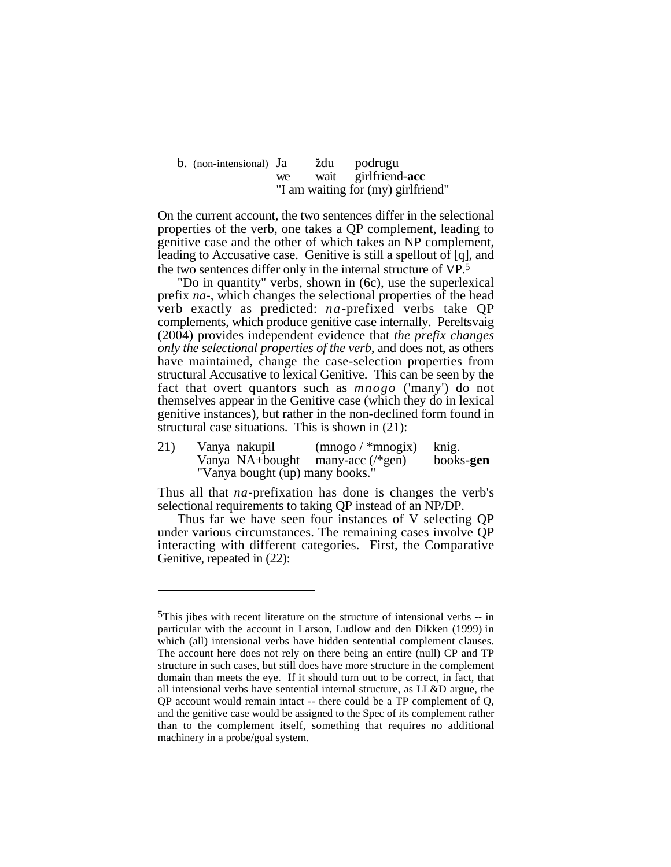#### b. (non-intensional) Ja zdu podrugu we wait girlfriend-**acc** "I am waiting for (my) girlfriend"

On the current account, the two sentences differ in the selectional properties of the verb, one takes a QP complement, leading to genitive case and the other of which takes an NP complement, leading to Accusative case. Genitive is still a spellout of [q], and the two sentences differ only in the internal structure of VP.5

"Do in quantity" verbs, shown in (6c), use the superlexical prefix *na*-, which changes the selectional properties of the head verb exactly as predicted: *na*-prefixed verbs take QP complements, which produce genitive case internally. Pereltsvaig (2004) provides independent evidence that *the prefix changes only the selectional properties of the verb*, and does not, as others have maintained, change the case-selection properties from structural Accusative to lexical Genitive. This can be seen by the fact that overt quantors such as *mnogo* ('many') do not themselves appear in the Genitive case (which they do in lexical genitive instances), but rather in the non-declined form found in structural case situations. This is shown in (21):

21) Vanya nakupil (mnogo / \*mnogix) knig. Vanya NA+bought many-acc (/\*gen) books-**gen** "Vanya bought (up) many books."

Thus all that *na*-prefixation has done is changes the verb's selectional requirements to taking QP instead of an NP/DP.

Thus far we have seen four instances of V selecting QP under various circumstances. The remaining cases involve QP interacting with different categories. First, the Comparative Genitive, repeated in (22):

<sup>5</sup>This jibes with recent literature on the structure of intensional verbs -- in particular with the account in Larson, Ludlow and den Dikken (1999) in which (all) intensional verbs have hidden sentential complement clauses. The account here does not rely on there being an entire (null) CP and TP structure in such cases, but still does have more structure in the complement domain than meets the eye. If it should turn out to be correct, in fact, that all intensional verbs have sentential internal structure, as LL&D argue, the QP account would remain intact -- there could be a TP complement of Q, and the genitive case would be assigned to the Spec of its complement rather than to the complement itself, something that requires no additional machinery in a probe/goal system.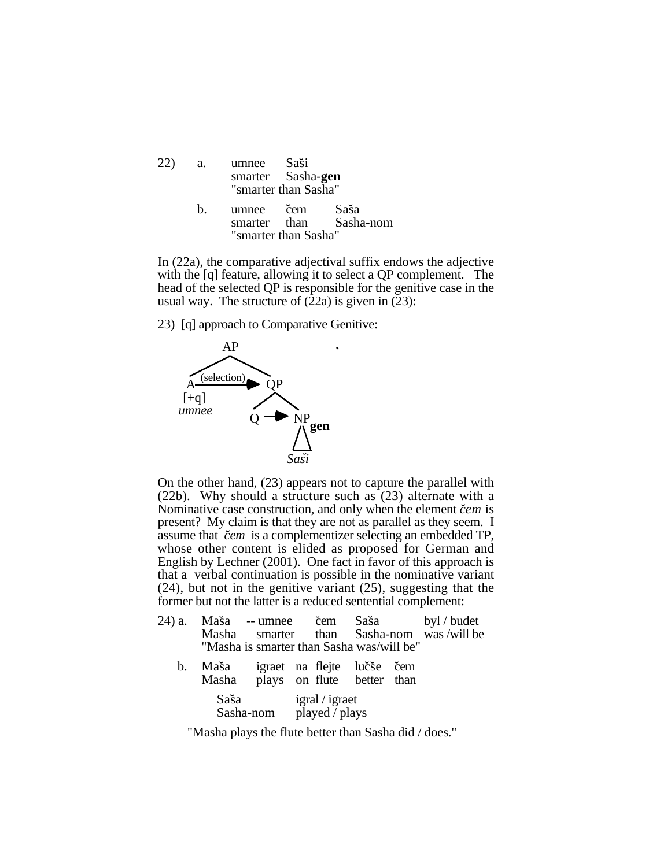- 22) a. umnee Saši<br>smarter Sash Sasha-**gen** "smarter than Sasha"
	- b. umnee čem Saša smarter than Sasha-nom "smarter than Sasha"

In (22a), the comparative adjectival suffix endows the adjective with the [q] feature, allowing it to select a QP complement. The head of the selected QP is responsible for the genitive case in the usual way. The structure of  $(22a)$  is given in  $(23)$ :

23) [q] approach to Comparative Genitive:



On the other hand, (23) appears not to capture the parallel with (22b). Why should a structure such as (23) alternate with a Nominative case construction, and only when the element  $\breve{c}em$  is present? My claim is that they are not as parallel as they seem. I assume that *čem* is a complementizer selecting an embedded TP, whose other content is elided as proposed for German and English by Lechner (2001). One fact in favor of this approach is that a verbal continuation is possible in the nominative variant (24), but not in the genitive variant (25), suggesting that the former but not the latter is a reduced sentential complement:

| 24) a.         | Maša -- umnee čem Saša<br>"Masha is smarter than Sasha was/will be" |                                          |                |  | byl / budet<br>Masha smarter than Sasha-nom was/will be |
|----------------|---------------------------------------------------------------------|------------------------------------------|----------------|--|---------------------------------------------------------|
| $\mathbf{b}$ . | Maša igraet na flejte lučše čem<br>Masha plays on flute better than |                                          |                |  |                                                         |
|                | Saša                                                                | Sasha-nom $\bar{p}$ ayed $\bar{p}$ plays | igral / igraet |  |                                                         |

"Masha plays the flute better than Sasha did / does."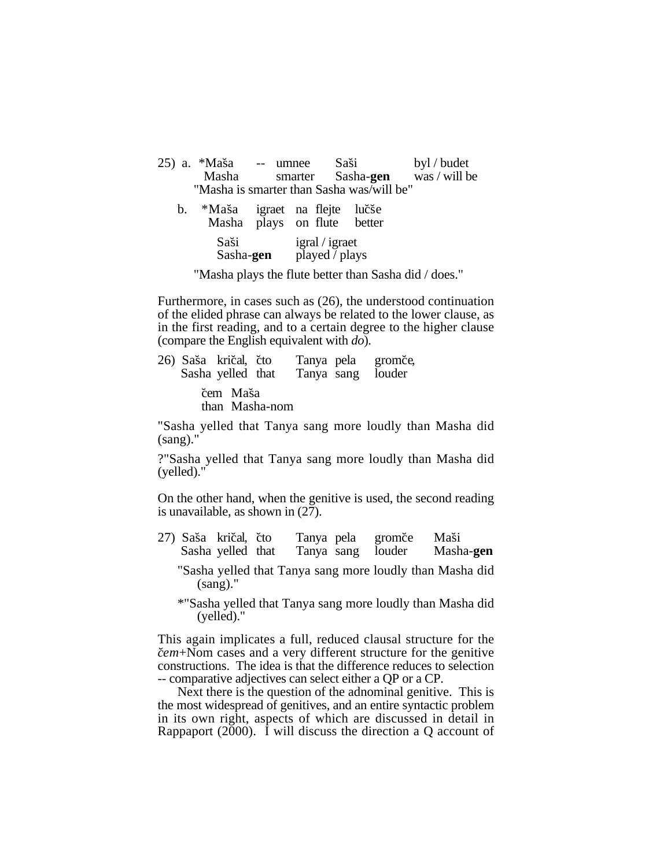|                                           |  | 25) a. *Maša |  | -- umnee | Saši                            | byl / budet |
|-------------------------------------------|--|--------------|--|----------|---------------------------------|-------------|
|                                           |  | Masha        |  |          | smarter Sasha-gen was / will be |             |
| "Masha is smarter than Sasha was/will be" |  |              |  |          |                                 |             |

| $\mathbf{b}$ . | *Maša<br>Masha    | igraet na flejte<br>plays on flute |                                  |  | lučše<br>better |
|----------------|-------------------|------------------------------------|----------------------------------|--|-----------------|
|                | Saši<br>Sasha-gen |                                    | igral / igraet<br>played / plays |  |                 |

"Masha plays the flute better than Sasha did / does."

Furthermore, in cases such as (26), the understood continuation of the elided phrase can always be related to the lower clause, as in the first reading, and to a certain degree to the higher clause (compare the English equivalent with *do*).

| 26) Saša kričal, čto<br>Sasha yelled that |          |                | Tanya sang louder | Tanya pela gromče, |
|-------------------------------------------|----------|----------------|-------------------|--------------------|
|                                           | čem Maša | than Masha-nom |                   |                    |

"Sasha yelled that Tanya sang more loudly than Masha did (sang)."

?"Sasha yelled that Tanya sang more loudly than Masha did (yelled)."

On the other hand, when the genitive is used, the second reading is unavailable, as shown in  $(27)$ .

- 27) Saša kričal, čto Tanya pela gromče Maši Sasha yelled that Tanya sang louder Masha-**gen**
	- "Sasha yelled that Tanya sang more loudly than Masha did (sang)."
	- \*"Sasha yelled that Tanya sang more loudly than Masha did (yelled)."

This again implicates a full, reduced clausal structure for the *c˘em*+Nom cases and a very different structure for the genitive constructions. The idea is that the difference reduces to selection -- comparative adjectives can select either a QP or a CP.

Next there is the question of the adnominal genitive. This is the most widespread of genitives, and an entire syntactic problem in its own right, aspects of which are discussed in detail in Rappaport (2000). I will discuss the direction a Q account of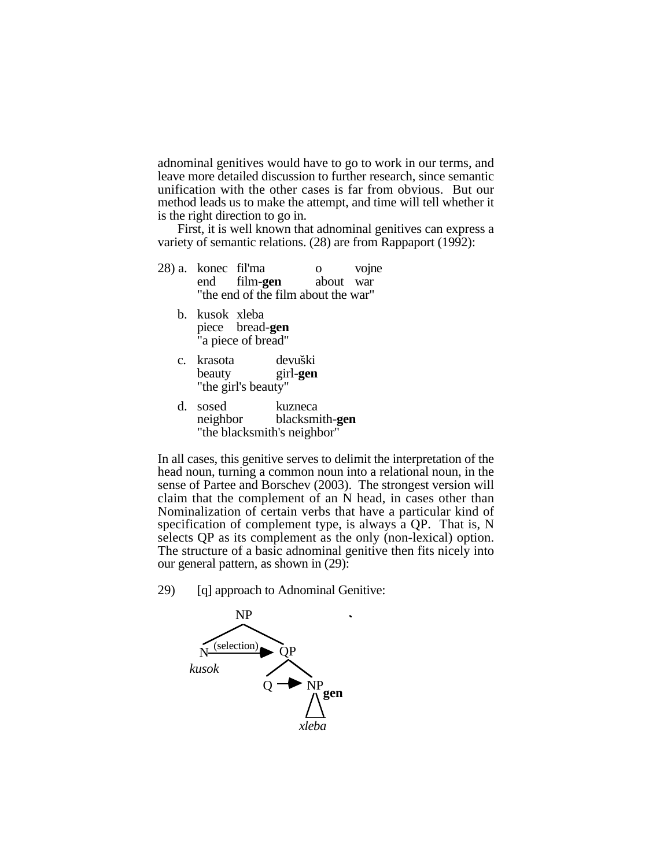adnominal genitives would have to go to work in our terms, and leave more detailed discussion to further research, since semantic unification with the other cases is far from obvious. But our method leads us to make the attempt, and time will tell whether it is the right direction to go in.

First, it is well known that adnominal genitives can express a variety of semantic relations. (28) are from Rappaport (1992):

- 28) a. konec fil'ma o vojne end film-**gen** about war "the end of the film about the war"
	- b. kusok xleba piece bread-**gen** "a piece of bread"
	- c. krasota devuški beauty girl-**gen** "the girl's beauty"
	- d. sosed kuzneca neighbor blacksmith-**gen** "the blacksmith's neighbor"

In all cases, this genitive serves to delimit the interpretation of the head noun, turning a common noun into a relational noun, in the sense of Partee and Borschev (2003). The strongest version will claim that the complement of an N head, in cases other than Nominalization of certain verbs that have a particular kind of specification of complement type, is always a QP. That is, N selects QP as its complement as the only (non-lexical) option. The structure of a basic adnominal genitive then fits nicely into our general pattern, as shown in (29):

29) [q] approach to Adnominal Genitive:

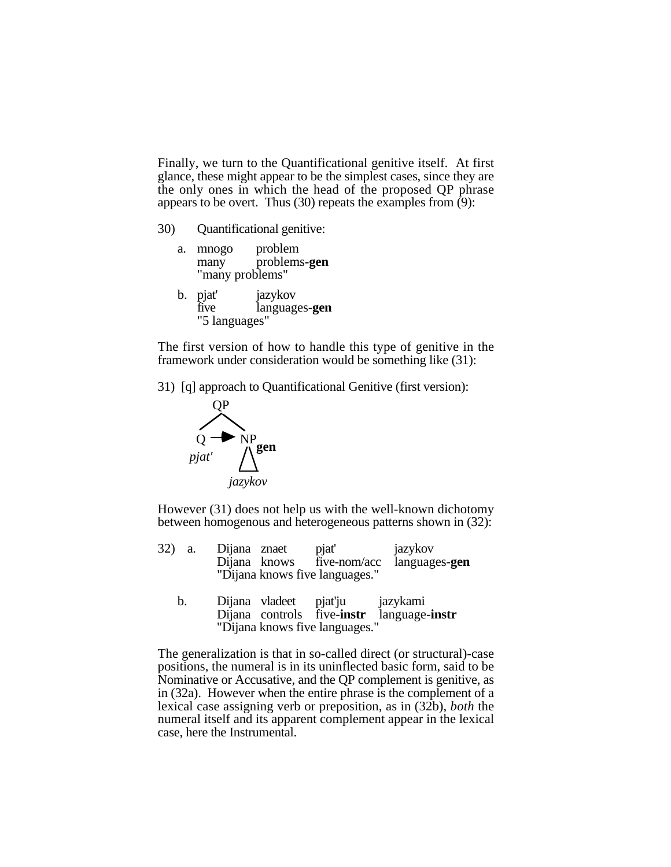Finally, we turn to the Quantificational genitive itself. At first glance, these might appear to be the simplest cases, since they are the only ones in which the head of the proposed QP phrase appears to be overt. Thus (30) repeats the examples from (9):

- 30) Quantificational genitive:
	- a. mnogo problem many problems**-gen** "many problems"
	- b. pjat' jazykov languages-**gen** "5 languages"

The first version of how to handle this type of genitive in the framework under consideration would be something like (31):

31) [q] approach to Quantificational Genitive (first version):



However (31) does not help us with the well-known dichotomy between homogenous and heterogeneous patterns shown in (32):

- 32) a. Dijana znaet pjat' jazykov five-nom/acc languages-**gen** "Dijana knows five languages."
	- b. Dijana vladeet pjat'ju jazykami Dijana controls five-**instr** language-**instr** "Dijana knows five languages."

The generalization is that in so-called direct (or structural)-case positions, the numeral is in its uninflected basic form, said to be Nominative or Accusative, and the QP complement is genitive, as in (32a). However when the entire phrase is the complement of a lexical case assigning verb or preposition, as in (32b), *both* the numeral itself and its apparent complement appear in the lexical case, here the Instrumental.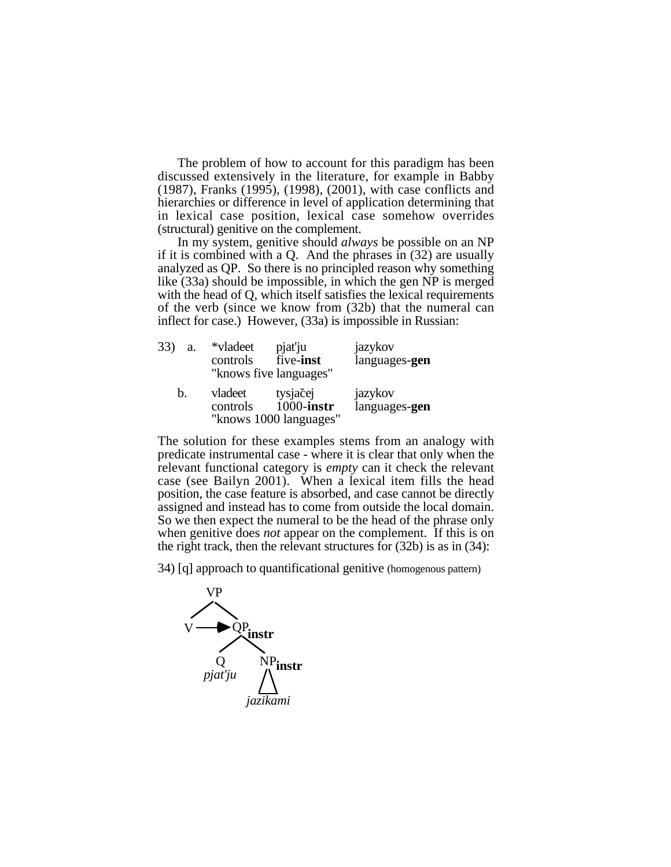The problem of how to account for this paradigm has been discussed extensively in the literature, for example in Babby (1987), Franks (1995), (1998), (2001), with case conflicts and hierarchies or difference in level of application determining that in lexical case position, lexical case somehow overrides (structural) genitive on the complement.

In my system, genitive should *always* be possible on an NP if it is combined with a Q. And the phrases in (32) are usually analyzed as QP. So there is no principled reason why something like (33a) should be impossible, in which the gen NP is merged with the head of Q, which itself satisfies the lexical requirements of the verb (since we know from (32b) that the numeral can inflect for case.) However, (33a) is impossible in Russian:

| 33)<br>a. | *vladeet<br>controls | pjat'ju<br>five-inst<br>"knows five languages"      | jazykov<br>languages-gen |
|-----------|----------------------|-----------------------------------------------------|--------------------------|
| b.        | vladeet<br>controls  | tysjačej<br>$1000$ -instr<br>"knows 1000 languages" | jazykov<br>languages-gen |

The solution for these examples stems from an analogy with predicate instrumental case - where it is clear that only when the relevant functional category is *empty* can it check the relevant case (see Bailyn 2001). When a lexical item fills the head position, the case feature is absorbed, and case cannot be directly assigned and instead has to come from outside the local domain. So we then expect the numeral to be the head of the phrase only when genitive does *not* appear on the complement. If this is on the right track, then the relevant structures for (32b) is as in (34):

34) [q] approach to quantificational genitive (homogenous pattern)

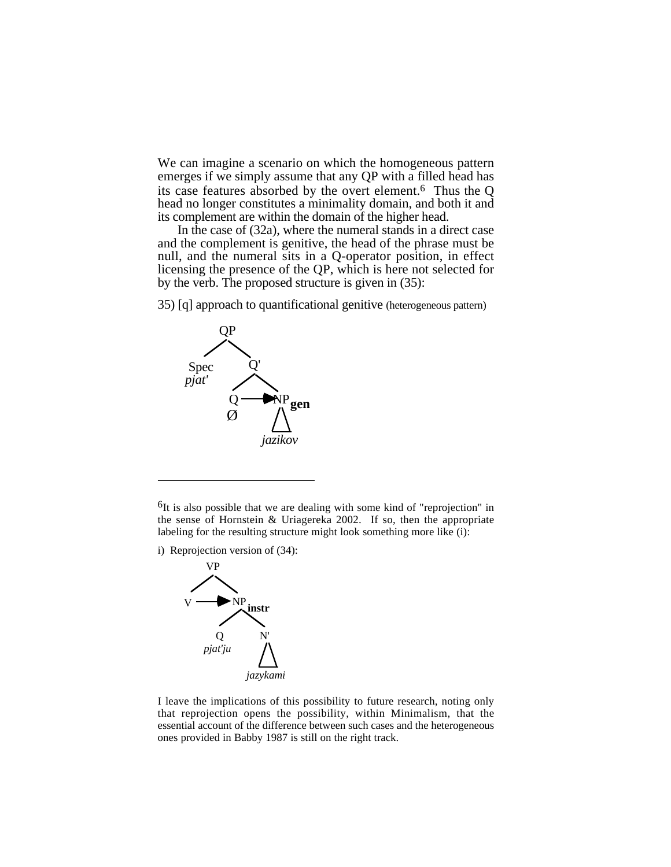We can imagine a scenario on which the homogeneous pattern emerges if we simply assume that any QP with a filled head has its case features absorbed by the overt element.6 Thus the Q head no longer constitutes a minimality domain, and both it and its complement are within the domain of the higher head.

In the case of (32a), where the numeral stands in a direct case and the complement is genitive, the head of the phrase must be null, and the numeral sits in a Q-operator position, in effect licensing the presence of the QP, which is here not selected for by the verb. The proposed structure is given in (35):

35) [q] approach to quantificational genitive (heterogeneous pattern)



<sup>6</sup>It is also possible that we are dealing with some kind of "reprojection" in the sense of Hornstein & Uriagereka 2002. If so, then the appropriate labeling for the resulting structure might look something more like (i):

i) Reprojection version of (34):



I leave the implications of this possibility to future research, noting only that reprojection opens the possibility, within Minimalism, that the essential account of the difference between such cases and the heterogeneous ones provided in Babby 1987 is still on the right track.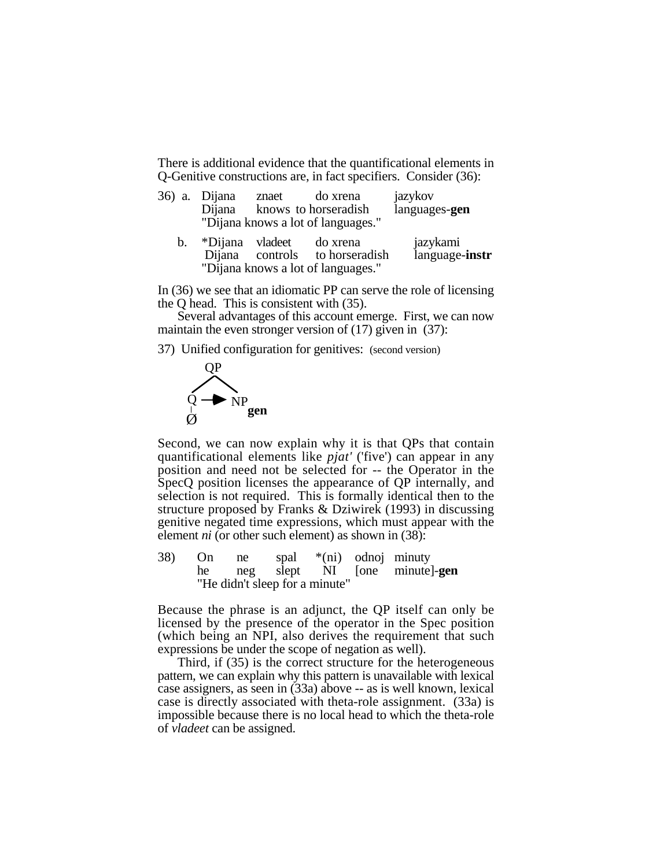There is additional evidence that the quantificational elements in Q-Genitive constructions are, in fact specifiers. Consider (36):

| 36) a. Dijana                      | znaet | do xrena             | jazykov               |
|------------------------------------|-------|----------------------|-----------------------|
| Dijana                             |       | knows to horseradish | languages- <b>gen</b> |
| "Dijana knows a lot of languages." |       |                      |                       |

b. \*Dijana vladeet do xrena jazykami Dijana controls to horseradish language-**instr** "Dijana knows a lot of languages."

In (36) we see that an idiomatic PP can serve the role of licensing the Q head. This is consistent with (35).

Several advantages of this account emerge. First, we can now maintain the even stronger version of (17) given in (37):

37) Unified configuration for genitives: (second version)



Second, we can now explain why it is that QPs that contain quantificational elements like *pjat'* ('five') can appear in any position and need not be selected for -- the Operator in the SpecQ position licenses the appearance of QP internally, and selection is not required. This is formally identical then to the structure proposed by Franks & Dziwirek (1993) in discussing genitive negated time expressions, which must appear with the element *ni* (or other such element) as shown in (38):

38) On ne spal \*(ni) odnoj minuty<br>he neg slept NI [one minute] he neg slept NI [one minute]-**gen** "He didn't sleep for a minute"

Because the phrase is an adjunct, the QP itself can only be licensed by the presence of the operator in the Spec position (which being an NPI, also derives the requirement that such expressions be under the scope of negation as well).

Third, if (35) is the correct structure for the heterogeneous pattern, we can explain why this pattern is unavailable with lexical case assigners, as seen in (33a) above -- as is well known, lexical case is directly associated with theta-role assignment. (33a) is impossible because there is no local head to which the theta-role of *vladeet* can be assigned.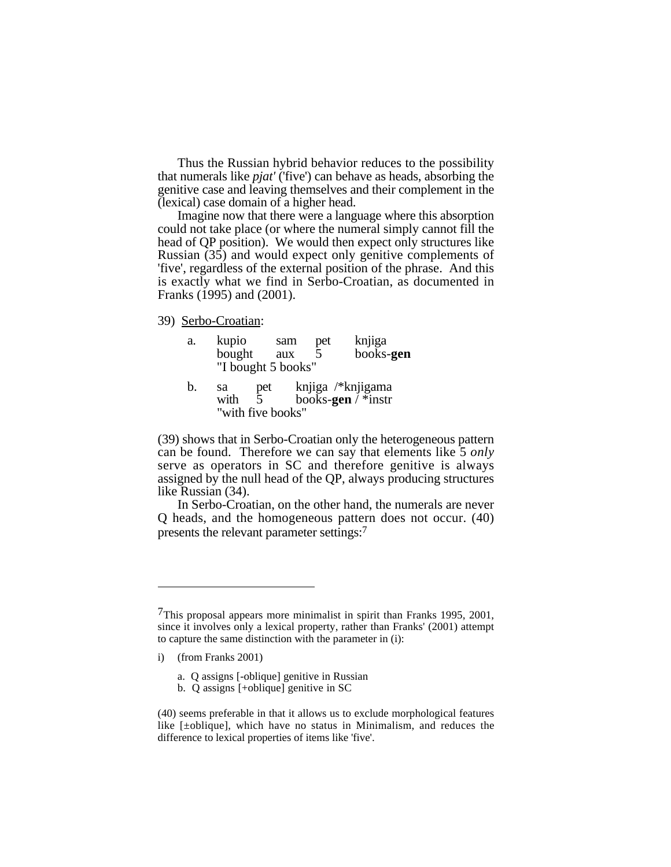Thus the Russian hybrid behavior reduces to the possibility that numerals like *pjat'* ('five') can behave as heads, absorbing the genitive case and leaving themselves and their complement in the (lexical) case domain of a higher head.

Imagine now that there were a language where this absorption could not take place (or where the numeral simply cannot fill the head of QP position). We would then expect only structures like Russian (35) and would expect only genitive complements of 'five', regardless of the external position of the phrase. And this is exactly what we find in Serbo-Croatian, as documented in Franks (1995) and (2001).

39) Serbo-Croatian:

| a. | kupio              | sam | pet | knjiga    |
|----|--------------------|-----|-----|-----------|
|    | bought             | aux |     | books-gen |
|    | "I bought 5 books" |     |     |           |

b. sa pet knjiga \*knjigama<br>with 5 books-gen / \*instr books-**gen** / \*instr "with five books"

(39) shows that in Serbo-Croatian only the heterogeneous pattern can be found. Therefore we can say that elements like 5 *only* serve as operators in SC and therefore genitive is always assigned by the null head of the QP, always producing structures like Russian (34).

In Serbo-Croatian, on the other hand, the numerals are never Q heads, and the homogeneous pattern does not occur. (40) presents the relevant parameter settings:7

- a. Q assigns [-oblique] genitive in Russian
- b. Q assigns [+oblique] genitive in SC

<sup>7</sup>This proposal appears more minimalist in spirit than Franks 1995, 2001, since it involves only a lexical property, rather than Franks' (2001) attempt to capture the same distinction with the parameter in (i):

i) (from Franks 2001)

<sup>(40)</sup> seems preferable in that it allows us to exclude morphological features like [±oblique], which have no status in Minimalism, and reduces the difference to lexical properties of items like 'five'.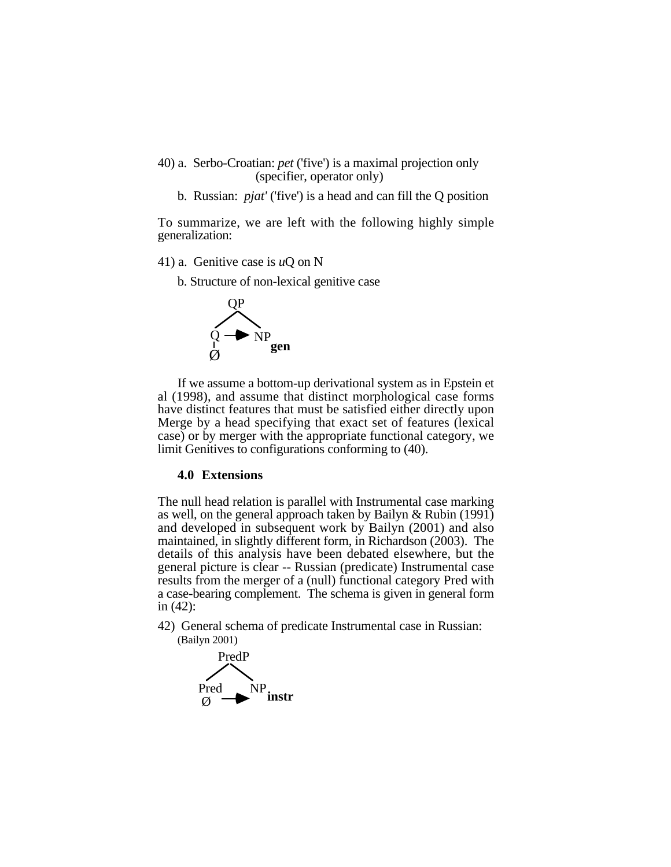- 40) a. Serbo-Croatian: *pet* ('five') is a maximal projection only (specifier, operator only)
	- b. Russian: *pjat'* ('five') is a head and can fill the Q position

To summarize, we are left with the following highly simple generalization:

- 41) a. Genitive case is *u*Q on N
	- b. Structure of non-lexical genitive case



If we assume a bottom-up derivational system as in Epstein et al (1998), and assume that distinct morphological case forms have distinct features that must be satisfied either directly upon Merge by a head specifying that exact set of features (lexical case) or by merger with the appropriate functional category, we limit Genitives to configurations conforming to (40).

### **4.0 Extensions**

The null head relation is parallel with Instrumental case marking as well, on the general approach taken by Bailyn & Rubin (1991) and developed in subsequent work by Bailyn (2001) and also maintained, in slightly different form, in Richardson (2003). The details of this analysis have been debated elsewhere, but the general picture is clear -- Russian (predicate) Instrumental case results from the merger of a (null) functional category Pred with a case-bearing complement. The schema is given in general form in (42):

42) General schema of predicate Instrumental case in Russian: (Bailyn 2001)

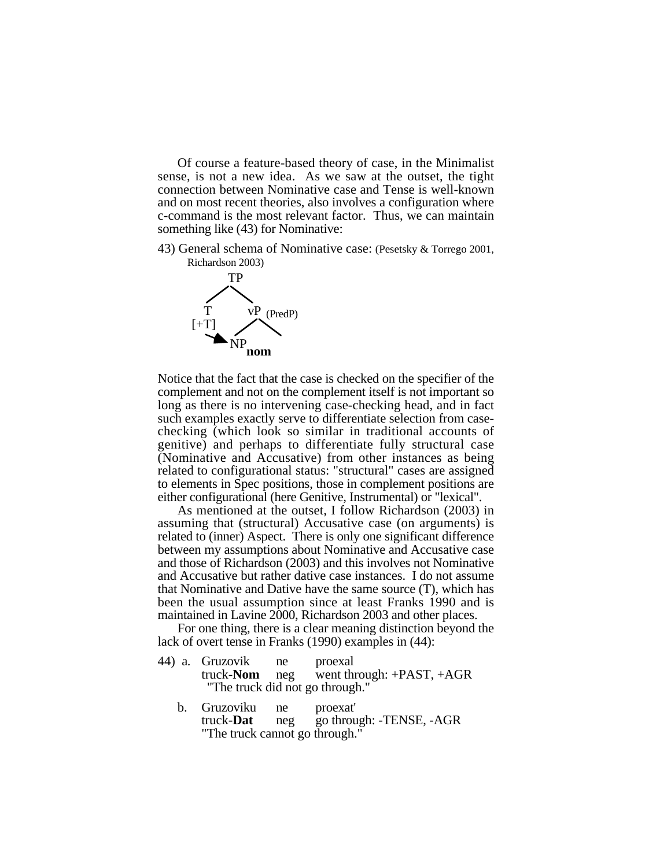Of course a feature-based theory of case, in the Minimalist sense, is not a new idea. As we saw at the outset, the tight connection between Nominative case and Tense is well-known and on most recent theories, also involves a configuration where c-command is the most relevant factor. Thus, we can maintain something like (43) for Nominative:

43) General schema of Nominative case: (Pesetsky & Torrego 2001, Richardson 2003)



Notice that the fact that the case is checked on the specifier of the complement and not on the complement itself is not important so long as there is no intervening case-checking head, and in fact such examples exactly serve to differentiate selection from casechecking (which look so similar in traditional accounts of genitive) and perhaps to differentiate fully structural case (Nominative and Accusative) from other instances as being related to configurational status: "structural" cases are assigned to elements in Spec positions, those in complement positions are either configurational (here Genitive, Instrumental) or "lexical".

As mentioned at the outset, I follow Richardson (2003) in assuming that (structural) Accusative case (on arguments) is related to (inner) Aspect. There is only one significant difference between my assumptions about Nominative and Accusative case and those of Richardson (2003) and this involves not Nominative and Accusative but rather dative case instances. I do not assume that Nominative and Dative have the same source (T), which has been the usual assumption since at least Franks 1990 and is maintained in Lavine 2000, Richardson 2003 and other places.

For one thing, there is a clear meaning distinction beyond the lack of overt tense in Franks (1990) examples in (44):

- 44) a. Gruzovik ne proexal truck-**Nom** neg went through: +PAST, +AGR "The truck did not go through."
	- b. Gruzoviku ne proexat' truck-**Dat** neg go through: -TENSE, -AGR "The truck cannot go through."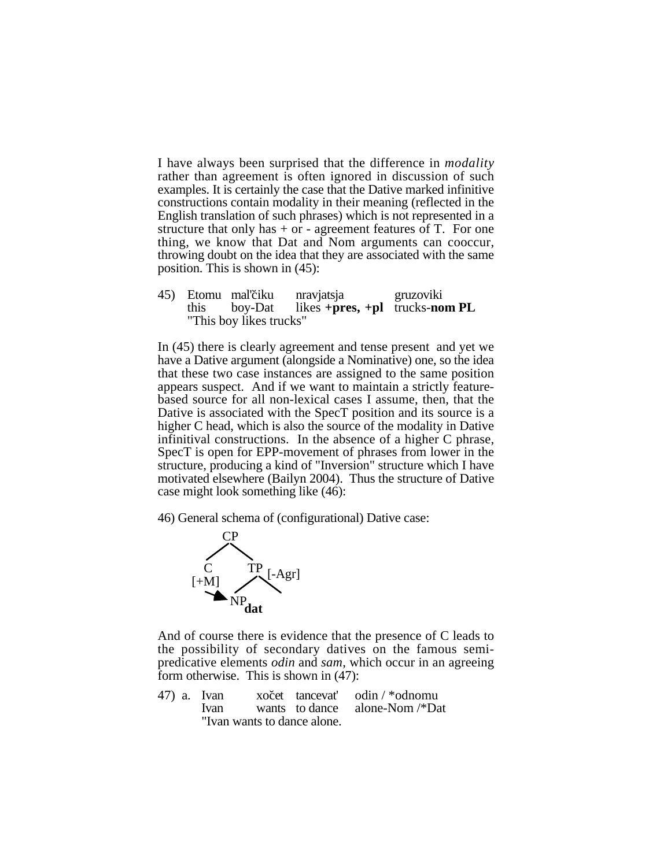I have always been surprised that the difference in *modality* rather than agreement is often ignored in discussion of such examples. It is certainly the case that the Dative marked infinitive constructions contain modality in their meaning (reflected in the English translation of such phrases) which is not represented in a structure that only has  $+$  or - agreement features of T. For one thing, we know that Dat and Nom arguments can cooccur, throwing doubt on the idea that they are associated with the same position. This is shown in (45):

45) Etomu mal'čiku nravjatsja gruzoviki<br>this boy-Dat likes +**pres**, +**pl** trucks-**no** this boy-Dat likes **+pres, +pl** trucks-**nom PL** "This boy likes trucks"

In (45) there is clearly agreement and tense present and yet we have a Dative argument (alongside a Nominative) one, so the idea that these two case instances are assigned to the same position appears suspect. And if we want to maintain a strictly featurebased source for all non-lexical cases I assume, then, that the Dative is associated with the SpecT position and its source is a higher C head, which is also the source of the modality in Dative infinitival constructions. In the absence of a higher C phrase, SpecT is open for EPP-movement of phrases from lower in the structure, producing a kind of "Inversion" structure which I have motivated elsewhere (Bailyn 2004). Thus the structure of Dative case might look something like (46):

46) General schema of (configurational) Dative case:



And of course there is evidence that the presence of C leads to the possibility of secondary datives on the famous semipredicative elements *odin* and *sam*, which occur in an agreeing form otherwise. This is shown in (47):

47) a. Ivan xočet tancevat' odin / \*odnomu Ivan wants to dance alone-Nom /\*Dat "Ivan wants to dance alone.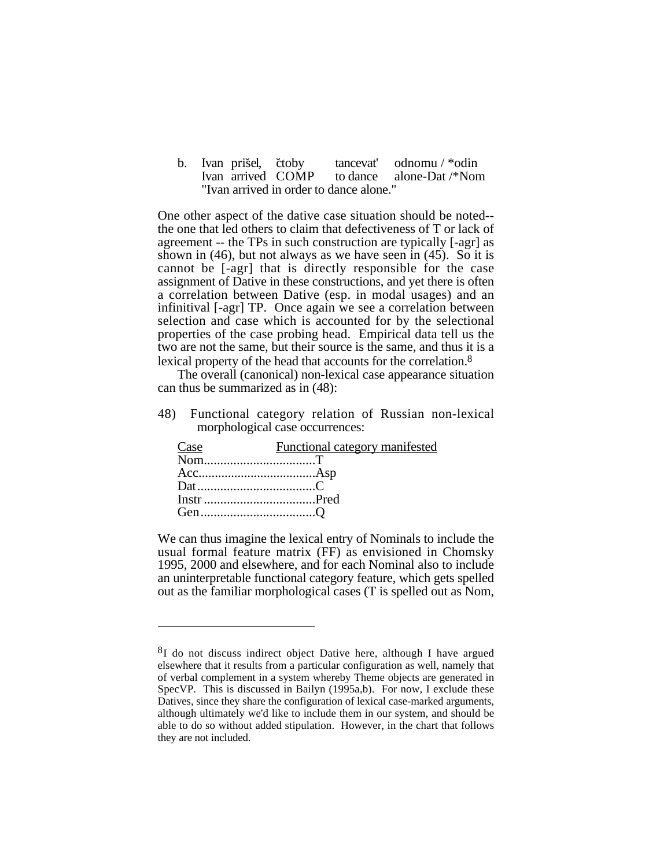b. Ivan prišel, čtoby tancevat' odnomu / \*odin Ivan arrived COMP to dance alone-Dat /\*Nom "Ivan arrived in order to dance alone."

One other aspect of the dative case situation should be noted- the one that led others to claim that defectiveness of T or lack of agreement -- the TPs in such construction are typically [-agr] as shown in (46), but not always as we have seen in (45). So it is cannot be [-agr] that is directly responsible for the case assignment of Dative in these constructions, and yet there is often a correlation between Dative (esp. in modal usages) and an infinitival [-agr] TP. Once again we see a correlation between selection and case which is accounted for by the selectional properties of the case probing head. Empirical data tell us the two are not the same, but their source is the same, and thus it is a lexical property of the head that accounts for the correlation.8

The overall (canonical) non-lexical case appearance situation can thus be summarized as in (48):

48) Functional category relation of Russian non-lexical morphological case occurrences:

| <b>Functional category manifested</b> |
|---------------------------------------|
|                                       |
|                                       |
|                                       |
|                                       |
|                                       |

We can thus imagine the lexical entry of Nominals to include the usual formal feature matrix (FF) as envisioned in Chomsky 1995, 2000 and elsewhere, and for each Nominal also to include an uninterpretable functional category feature, which gets spelled out as the familiar morphological cases (T is spelled out as Nom,

 ${}^{8}I$  do not discuss indirect object Dative here, although I have argued elsewhere that it results from a particular configuration as well, namely that of verbal complement in a system whereby Theme objects are generated in SpecVP. This is discussed in Bailyn (1995a,b). For now, I exclude these Datives, since they share the configuration of lexical case-marked arguments, although ultimately we'd like to include them in our system, and should be able to do so without added stipulation. However, in the chart that follows they are not included.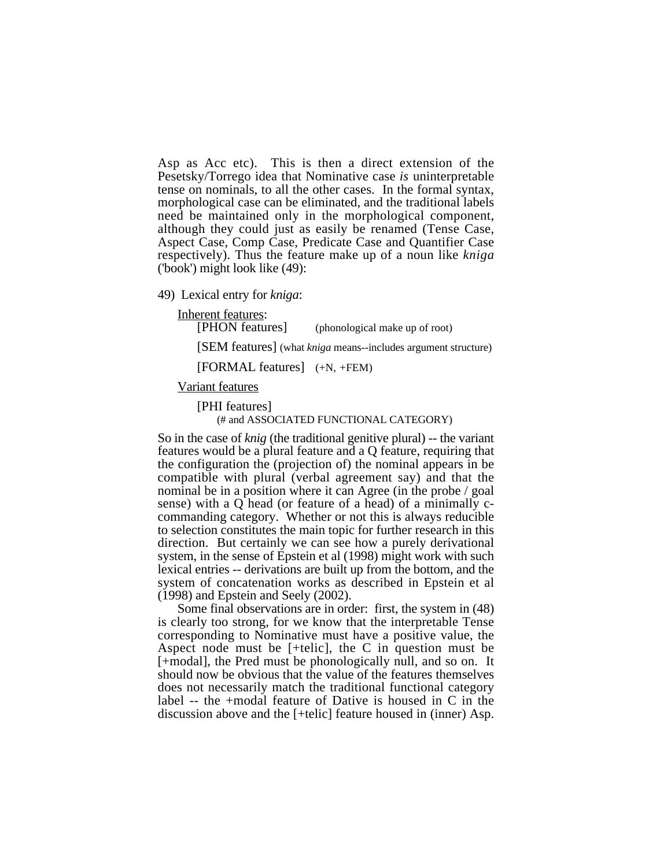Asp as Acc etc). This is then a direct extension of the Pesetsky/Torrego idea that Nominative case *is* uninterpretable tense on nominals, to all the other cases. In the formal syntax, morphological case can be eliminated, and the traditional labels need be maintained only in the morphological component, although they could just as easily be renamed (Tense Case, Aspect Case, Comp Case, Predicate Case and Quantifier Case respectively). Thus the feature make up of a noun like *kniga* ('book') might look like (49):

49) Lexical entry for *kniga*:

Inherent features:

[PHON features] (phonological make up of root)

[SEM features] (what *kniga* means--includes argument structure)

[FORMAL features] (+N, +FEM)

#### Variant features

[PHI features]

(# and ASSOCIATED FUNCTIONAL CATEGORY)

So in the case of *knig* (the traditional genitive plural) -- the variant features would be a plural feature and a Q feature, requiring that the configuration the (projection of) the nominal appears in be compatible with plural (verbal agreement say) and that the nominal be in a position where it can Agree (in the probe / goal sense) with a Q head (or feature of a head) of a minimally ccommanding category. Whether or not this is always reducible to selection constitutes the main topic for further research in this direction. But certainly we can see how a purely derivational system, in the sense of Epstein et al (1998) might work with such lexical entries -- derivations are built up from the bottom, and the system of concatenation works as described in Epstein et al (1998) and Epstein and Seely (2002).

Some final observations are in order: first, the system in (48) is clearly too strong, for we know that the interpretable Tense corresponding to Nominative must have a positive value, the Aspect node must be [+telic], the C in question must be [+modal], the Pred must be phonologically null, and so on. It should now be obvious that the value of the features themselves does not necessarily match the traditional functional category label -- the +modal feature of Dative is housed in C in the discussion above and the [+telic] feature housed in (inner) Asp.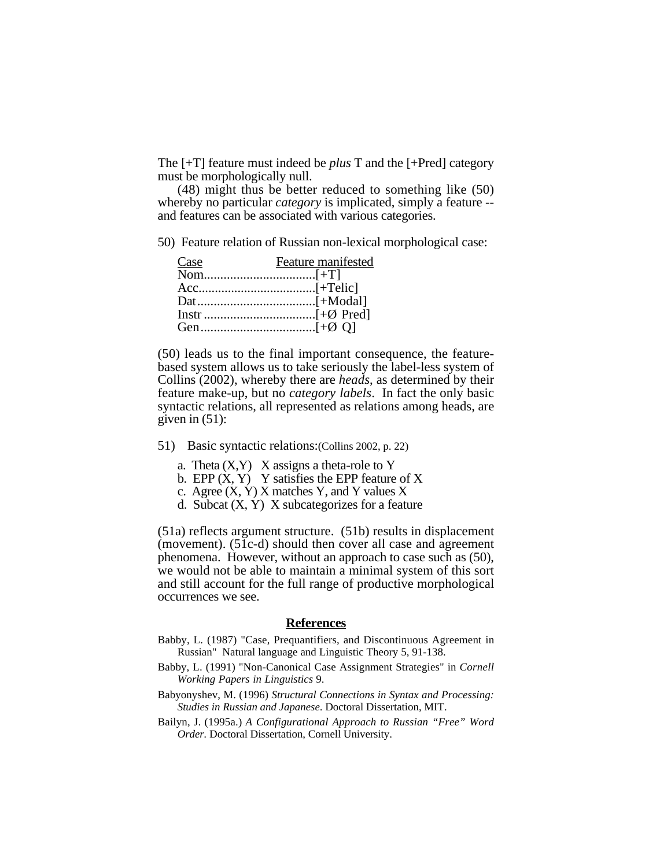The [+T] feature must indeed be *plus* T and the [+Pred] category must be morphologically null.

(48) might thus be better reduced to something like (50) whereby no particular *category* is implicated, simply a feature - and features can be associated with various categories.

50) Feature relation of Russian non-lexical morphological case:

| Case | Feature manifested |
|------|--------------------|
|      |                    |
|      |                    |
|      |                    |
|      |                    |
|      |                    |

(50) leads us to the final important consequence, the featurebased system allows us to take seriously the label-less system of Collins (2002), whereby there are *heads*, as determined by their feature make-up, but no *category labels*. In fact the only basic syntactic relations, all represented as relations among heads, are given in  $(51)$ :

- 51) Basic syntactic relations:(Collins 2002, p. 22)
	- a. Theta  $(X, Y)$  X assigns a theta-role to Y
	- b. EPP  $(X, Y)$  Y satisfies the EPP feature of X
	- c. Agree  $(X, Y)$  X matches Y, and Y values X
	- d. Subcat  $(X, Y)$  X subcategorizes for a feature

(51a) reflects argument structure. (51b) results in displacement (movement). (51c-d) should then cover all case and agreement phenomena. However, without an approach to case such as (50), we would not be able to maintain a minimal system of this sort and still account for the full range of productive morphological occurrences we see.

#### **References**

- Babby, L. (1987) "Case, Prequantifiers, and Discontinuous Agreement in Russian" Natural language and Linguistic Theory 5, 91-138.
- Babby, L. (1991) "Non-Canonical Case Assignment Strategies" in *Cornell Working Papers in Linguistics* 9.
- Babyonyshev, M. (1996) *Structural Connections in Syntax and Processing: Studies in Russian and Japanese*. Doctoral Dissertation, MIT.
- Bailyn, J. (1995a.) *A Configurational Approach to Russian "Free" Word Order.* Doctoral Dissertation, Cornell University.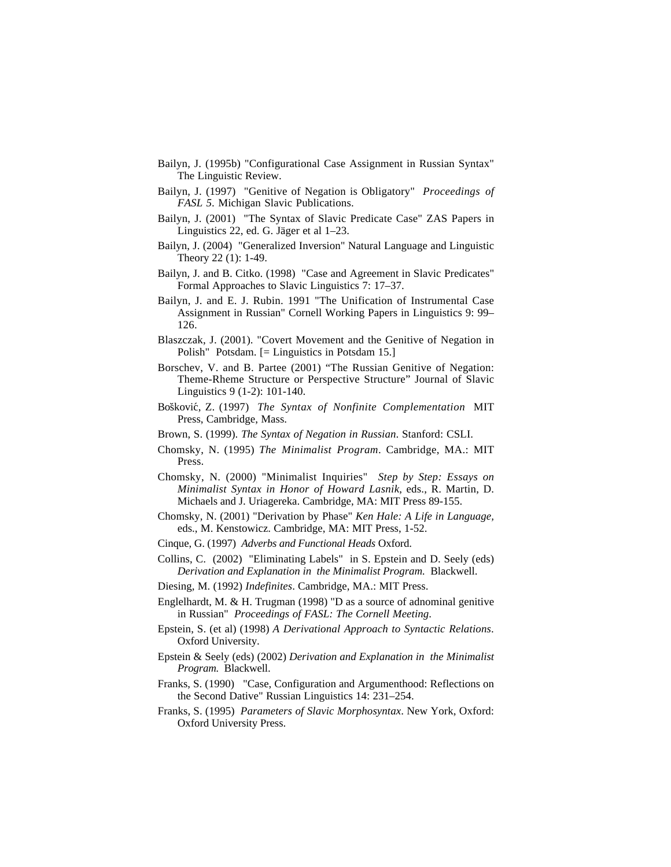- Bailyn, J. (1995b) "Configurational Case Assignment in Russian Syntax" The Linguistic Review.
- Bailyn, J. (1997) "Genitive of Negation is Obligatory" *Proceedings of FASL 5*. Michigan Slavic Publications.
- Bailyn, J. (2001) "The Syntax of Slavic Predicate Case" ZAS Papers in Linguistics 22, ed. G. Jäger et al 1–23.
- Bailyn, J. (2004) "Generalized Inversion" Natural Language and Linguistic Theory 22 (1): 1-49.
- Bailyn, J. and B. Citko. (1998) "Case and Agreement in Slavic Predicates" Formal Approaches to Slavic Linguistics 7: 17–37.
- Bailyn, J. and E. J. Rubin. 1991 "The Unification of Instrumental Case Assignment in Russian" Cornell Working Papers in Linguistics 9: 99– 126.
- Blaszczak, J. (2001). "Covert Movement and the Genitive of Negation in Polish" Potsdam. [= Linguistics in Potsdam 15.]
- Borschev, V. and B. Partee (2001) "The Russian Genitive of Negation: Theme-Rheme Structure or Perspective Structure" Journal of Slavic Linguistics 9 (1-2): 101-140.
- Bošković, Z. (1997) *The Syntax of Nonfinite Complementation* MIT Press, Cambridge, Mass.
- Brown, S. (1999). *The Syntax of Negation in Russian*. Stanford: CSLI.
- Chomsky, N. (1995) *The Minimalist Program*. Cambridge, MA.: MIT Press.
- Chomsky, N. (2000) "Minimalist Inquiries" *Step by Step: Essays on Minimalist Syntax in Honor of Howard Lasnik*, eds., R. Martin, D. Michaels and J. Uriagereka. Cambridge, MA: MIT Press 89-155.
- Chomsky, N. (2001) "Derivation by Phase" *Ken Hale: A Life in Language,* eds., M. Kenstowicz. Cambridge, MA: MIT Press, 1-52.
- Cinque, G. (1997) *Adverbs and Functional Heads* Oxford.
- Collins, C. (2002) "Eliminating Labels" in S. Epstein and D. Seely (eds) *Derivation and Explanation in the Minimalist Program.* Blackwell.
- Diesing, M. (1992) *Indefinites*. Cambridge, MA.: MIT Press.
- Englelhardt, M. & H. Trugman (1998) "D as a source of adnominal genitive in Russian" *Proceedings of FASL: The Cornell Meeting*.
- Epstein, S. (et al) (1998) *A Derivational Approach to Syntactic Relations*. Oxford University.
- Epstein & Seely (eds) (2002) *Derivation and Explanation in the Minimalist Program.* Blackwell.
- Franks, S. (1990) "Case, Configuration and Argumenthood: Reflections on the Second Dative" Russian Linguistics 14: 231–254.
- Franks, S. (1995) *Parameters of Slavic Morphosyntax*. New York, Oxford: Oxford University Press.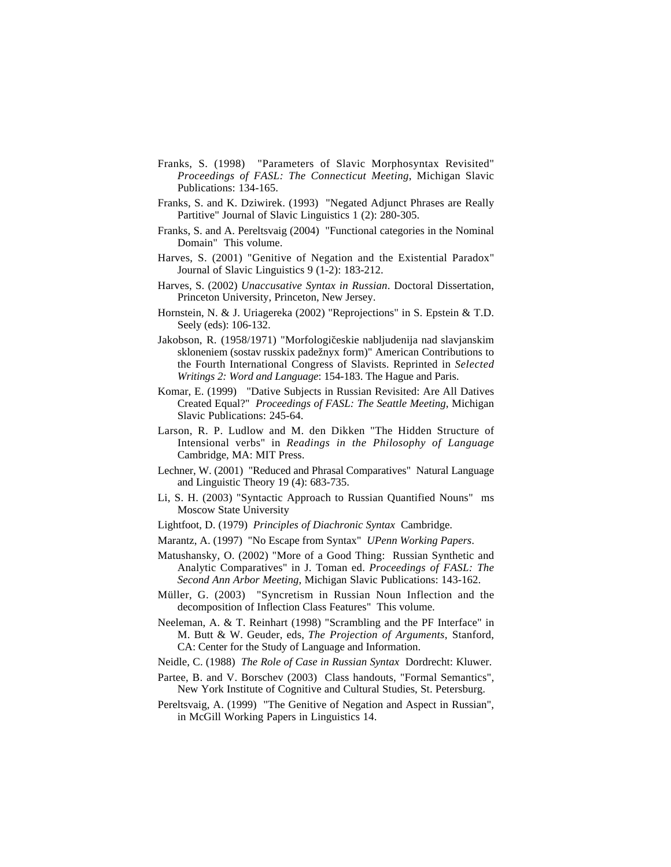- Franks, S. (1998) "Parameters of Slavic Morphosyntax Revisited" *Proceedings of FASL: The Connecticut Meeting*, Michigan Slavic Publications: 134-165.
- Franks, S. and K. Dziwirek. (1993) "Negated Adjunct Phrases are Really Partitive" Journal of Slavic Linguistics 1 (2): 280-305.
- Franks, S. and A. Pereltsvaig (2004) "Functional categories in the Nominal Domain" This volume.
- Harves, S. (2001) "Genitive of Negation and the Existential Paradox" Journal of Slavic Linguistics 9 (1-2): 183-212.
- Harves, S. (2002) *Unaccusative Syntax in Russian*. Doctoral Dissertation, Princeton University, Princeton, New Jersey.
- Hornstein, N. & J. Uriagereka (2002) "Reprojections" in S. Epstein & T.D. Seely (eds): 106-132.
- Jakobson, R. (1958/1971) "Morfologičeskie nabljudenija nad slavjanskim skloneniem (sostav russkix padežnyx form)" American Contributions to the Fourth International Congress of Slavists. Reprinted in *Selected Writings 2: Word and Language*: 154-183. The Hague and Paris.
- Komar, E. (1999) "Dative Subjects in Russian Revisited: Are All Datives Created Equal?" *Proceedings of FASL: The Seattle Meeting*, Michigan Slavic Publications: 245-64.
- Larson, R. P. Ludlow and M. den Dikken "The Hidden Structure of Intensional verbs" in *Readings in the Philosophy of Language* Cambridge, MA: MIT Press.
- Lechner, W. (2001) "Reduced and Phrasal Comparatives" Natural Language and Linguistic Theory 19 (4): 683-735.
- Li, S. H. (2003) "Syntactic Approach to Russian Quantified Nouns" ms Moscow State University
- Lightfoot, D. (1979) *Principles of Diachronic Syntax* Cambridge.
- Marantz, A. (1997) "No Escape from Syntax" *UPenn Working Papers*.
- Matushansky, O. (2002) "More of a Good Thing: Russian Synthetic and Analytic Comparatives" in J. Toman ed. *Proceedings of FASL: The Second Ann Arbor Meeting*, Michigan Slavic Publications: 143-162.
- Müller, G. (2003) "Syncretism in Russian Noun Inflection and the decomposition of Inflection Class Features" This volume.
- Neeleman, A. & T. Reinhart (1998) "Scrambling and the PF Interface" in M. Butt & W. Geuder, eds, *The Projection of Arguments*, Stanford, CA: Center for the Study of Language and Information.
- Neidle, C. (1988) *The Role of Case in Russian Syntax* Dordrecht: Kluwer.
- Partee, B. and V. Borschev (2003) Class handouts, "Formal Semantics", New York Institute of Cognitive and Cultural Studies, St. Petersburg.
- Pereltsvaig, A. (1999) "The Genitive of Negation and Aspect in Russian", in McGill Working Papers in Linguistics 14.